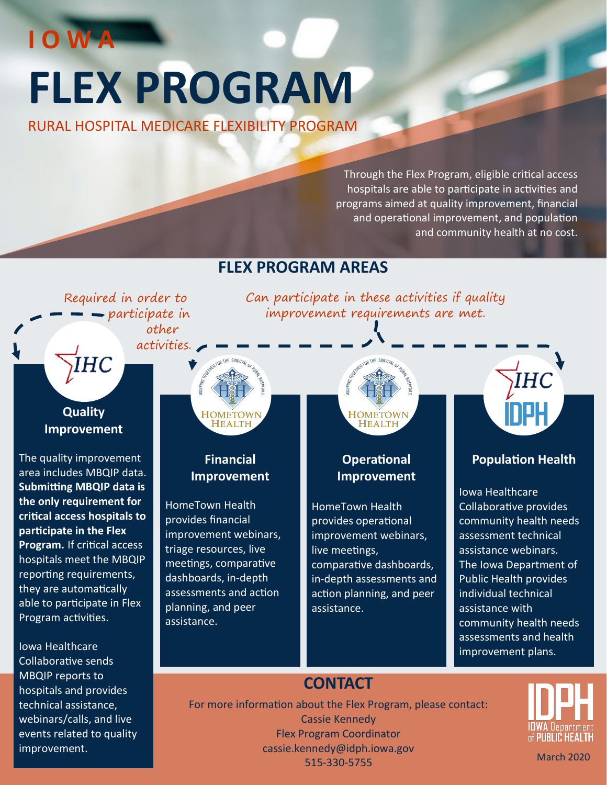# **FLEX PROGRAM**

RURAL HOSPITAL MEDICARE FLEXIBILITY PROGRAM

Through the Flex Program, eligible critical access hospitals are able to participate in activities and programs aimed at quality improvement, financial and operational improvement, and population and community health at no cost.

# **FLEX PROGRAM AREAS**

Required in order to  $\rightarrow$  participate in other activities. ÏНC

# **Quality Improvement**

**I O W A**

The quality improvement area includes MBQIP data. **Submitting MBQIP data is the only requirement for critical access hospitals to participate in the Flex Program.** If critical access hospitals meet the MBQIP reporting requirements, they are automatically able to participate in Flex Program activities.

Iowa Healthcare Collaborative sends MBQIP reports to hospitals and provides technical assistance, webinars/calls, and live events related to quality improvement.



# **Financial Improvement**

HomeTown Health provides financial improvement webinars, triage resources, live meetings, comparative dashboards, in-depth assessments and action planning, and peer assistance.



Can participate in these activities if quality improvement requirements are met.

## **Operational Improvement**

HomeTown Health provides operational improvement webinars, live meetings, comparative dashboards, in-depth assessments and action planning, and peer assistance.



# **Population Health**

Iowa Healthcare Collaborative provides community health needs assessment technical assistance webinars. The Iowa Department of Public Health provides individual technical assistance with community health needs assessments and health improvement plans.

# **CONTACT**

For more information about the Flex Program, please contact: Cassie Kennedy Flex Program Coordinator cassie.kennedy@idph.iowa.gov <sup>515</sup>-330-<sup>5755</sup> March 2020